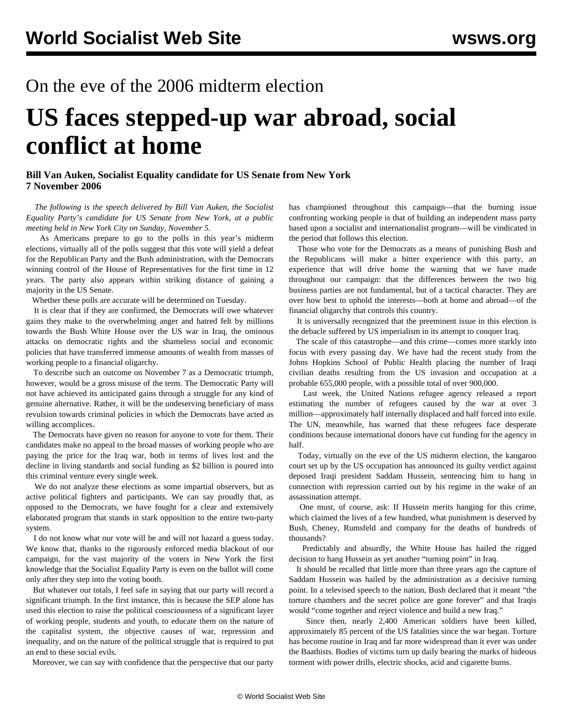## On the eve of the 2006 midterm election

## **US faces stepped-up war abroad, social conflict at home**

## **Bill Van Auken, Socialist Equality candidate for US Senate from New York 7 November 2006**

 *The following is the speech delivered by Bill Van Auken, the Socialist Equality Party's candidate for US Senate from New York, at a public meeting held in New York City on Sunday, November 5.*

 As Americans prepare to go to the polls in this year's midterm elections, virtually all of the polls suggest that this vote will yield a defeat for the Republican Party and the Bush administration, with the Democrats winning control of the House of Representatives for the first time in 12 years. The party also appears within striking distance of gaining a majority in the US Senate.

Whether these polls are accurate will be determined on Tuesday.

 It is clear that if they are confirmed, the Democrats will owe whatever gains they make to the overwhelming anger and hatred felt by millions towards the Bush White House over the US war in Iraq, the ominous attacks on democratic rights and the shameless social and economic policies that have transferred immense amounts of wealth from masses of working people to a financial oligarchy.

 To describe such an outcome on November 7 as a Democratic triumph, however, would be a gross misuse of the term. The Democratic Party will not have achieved its anticipated gains through a struggle for any kind of genuine alternative. Rather, it will be the undeserving beneficiary of mass revulsion towards criminal policies in which the Democrats have acted as willing accomplices.

 The Democrats have given no reason for anyone to vote for them. Their candidates make no appeal to the broad masses of working people who are paying the price for the Iraq war, both in terms of lives lost and the decline in living standards and social funding as \$2 billion is poured into this criminal venture every single week.

 We do not analyze these elections as some impartial observers, but as active political fighters and participants. We can say proudly that, as opposed to the Democrats, we have fought for a clear and extensively elaborated program that stands in stark opposition to the entire two-party system.

 I do not know what our vote will be and will not hazard a guess today. We know that, thanks to the rigorously enforced media blackout of our campaign, for the vast majority of the voters in New York the first knowledge that the Socialist Equality Party is even on the ballot will come only after they step into the voting booth.

 But whatever our totals, I feel safe in saying that our party will record a significant triumph. In the first instance, this is because the SEP alone has used this election to raise the political consciousness of a significant layer of working people, students and youth, to educate them on the nature of the capitalist system, the objective causes of war, repression and inequality, and on the nature of the political struggle that is required to put an end to these social evils.

Moreover, we can say with confidence that the perspective that our party

has championed throughout this campaign—that the burning issue confronting working people is that of building an independent mass party based upon a socialist and internationalist program—will be vindicated in the period that follows this election.

 Those who vote for the Democrats as a means of punishing Bush and the Republicans will make a bitter experience with this party, an experience that will drive home the warning that we have made throughout our campaign: that the differences between the two big business parties are not fundamental, but of a tactical character. They are over how best to uphold the interests—both at home and abroad—of the financial oligarchy that controls this country.

 It is universally recognized that the preeminent issue in this election is the debacle suffered by US imperialism in its attempt to conquer Iraq.

 The scale of this catastrophe—and this crime—comes more starkly into focus with every passing day. We have had the recent study from the Johns Hopkins School of Public Health placing the number of Iraqi civilian deaths resulting from the US invasion and occupation at a probable 655,000 people, with a possible total of over 900,000.

 Last week, the United Nations refugee agency released a report estimating the number of refugees caused by the war at over 3 million—approximately half internally displaced and half forced into exile. The UN, meanwhile, has warned that these refugees face desperate conditions because international donors have cut funding for the agency in half.

 Today, virtually on the eve of the US midterm election, the kangaroo court set up by the US occupation has announced its guilty verdict against deposed Iraqi president Saddam Hussein, sentencing him to hang in connection with repression carried out by his regime in the wake of an assassination attempt.

 One must, of course, ask: If Hussein merits hanging for this crime, which claimed the lives of a few hundred, what punishment is deserved by Bush, Cheney, Rumsfeld and company for the deaths of hundreds of thousands?

 Predictably and absurdly, the White House has hailed the rigged decision to hang Hussein as yet another "turning point" in Iraq.

 It should be recalled that little more than three years ago the capture of Saddam Hussein was hailed by the administration as a decisive turning point. In a televised speech to the nation, Bush declared that it meant "the torture chambers and the secret police are gone forever" and that Iraqis would "come together and reject violence and build a new Iraq."

 Since then, nearly 2,400 American soldiers have been killed, approximately 85 percent of the US fatalities since the war began. Torture has become routine in Iraq and far more widespread than it ever was under the Baathists. Bodies of victims turn up daily bearing the marks of hideous torment with power drills, electric shocks, acid and cigarette burns.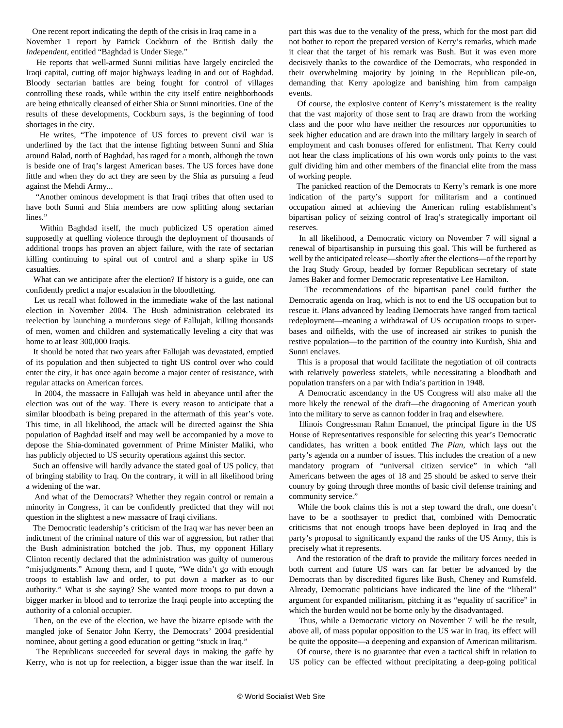One recent report indicating the depth of the crisis in Iraq came in a November 1 report by Patrick Cockburn of the British daily the *Independent,* entitled "Baghdad is Under Siege."

 He reports that well-armed Sunni militias have largely encircled the Iraqi capital, cutting off major highways leading in and out of Baghdad. Bloody sectarian battles are being fought for control of villages controlling these roads, while within the city itself entire neighborhoods are being ethnically cleansed of either Shia or Sunni minorities. One of the results of these developments, Cockburn says, is the beginning of food shortages in the city.

 He writes, "The impotence of US forces to prevent civil war is underlined by the fact that the intense fighting between Sunni and Shia around Balad, north of Baghdad, has raged for a month, although the town is beside one of Iraq's largest American bases. The US forces have done little and when they do act they are seen by the Shia as pursuing a feud against the Mehdi Army...

 "Another ominous development is that Iraqi tribes that often used to have both Sunni and Shia members are now splitting along sectarian lines."

 Within Baghdad itself, the much publicized US operation aimed supposedly at quelling violence through the deployment of thousands of additional troops has proven an abject failure, with the rate of sectarian killing continuing to spiral out of control and a sharp spike in US casualties.

 What can we anticipate after the election? If history is a guide, one can confidently predict a major escalation in the bloodletting.

 Let us recall what followed in the immediate wake of the last national election in November 2004. The Bush administration celebrated its reelection by launching a murderous siege of Fallujah, killing thousands of men, women and children and systematically leveling a city that was home to at least 300,000 Iraqis.

 It should be noted that two years after Fallujah was devastated, emptied of its population and then subjected to tight US control over who could enter the city, it has once again become a major center of resistance, with regular attacks on American forces.

 In 2004, the massacre in Fallujah was held in abeyance until after the election was out of the way. There is every reason to anticipate that a similar bloodbath is being prepared in the aftermath of this year's vote. This time, in all likelihood, the attack will be directed against the Shia population of Baghdad itself and may well be accompanied by a move to depose the Shia-dominated government of Prime Minister Maliki, who has publicly objected to US security operations against this sector.

 Such an offensive will hardly advance the stated goal of US policy, that of bringing stability to Iraq. On the contrary, it will in all likelihood bring a widening of the war.

 And what of the Democrats? Whether they regain control or remain a minority in Congress, it can be confidently predicted that they will not question in the slightest a new massacre of Iraqi civilians.

 The Democratic leadership's criticism of the Iraq war has never been an indictment of the criminal nature of this war of aggression, but rather that the Bush administration botched the job. Thus, my opponent Hillary Clinton recently declared that the administration was guilty of numerous "misjudgments." Among them, and I quote, "We didn't go with enough troops to establish law and order, to put down a marker as to our authority." What is she saying? She wanted more troops to put down a bigger marker in blood and to terrorize the Iraqi people into accepting the authority of a colonial occupier.

 Then, on the eve of the election, we have the bizarre episode with the mangled joke of Senator John Kerry, the Democrats' 2004 presidential nominee, about getting a good education or getting "stuck in Iraq."

 The Republicans succeeded for several days in making the gaffe by Kerry, who is not up for reelection, a bigger issue than the war itself. In part this was due to the venality of the press, which for the most part did not bother to report the prepared version of Kerry's remarks, which made it clear that the target of his remark was Bush. But it was even more decisively thanks to the cowardice of the Democrats, who responded in their overwhelming majority by joining in the Republican pile-on, demanding that Kerry apologize and banishing him from campaign events.

 Of course, the explosive content of Kerry's misstatement is the reality that the vast majority of those sent to Iraq are drawn from the working class and the poor who have neither the resources nor opportunities to seek higher education and are drawn into the military largely in search of employment and cash bonuses offered for enlistment. That Kerry could not hear the class implications of his own words only points to the vast gulf dividing him and other members of the financial elite from the mass of working people.

 The panicked reaction of the Democrats to Kerry's remark is one more indication of the party's support for militarism and a continued occupation aimed at achieving the American ruling establishment's bipartisan policy of seizing control of Iraq's strategically important oil reserves.

 In all likelihood, a Democratic victory on November 7 will signal a renewal of bipartisanship in pursuing this goal. This will be furthered as well by the anticipated release—shortly after the elections—of the report by the Iraq Study Group, headed by former Republican secretary of state James Baker and former Democratic representative Lee Hamilton.

 The recommendations of the bipartisan panel could further the Democratic agenda on Iraq, which is not to end the US occupation but to rescue it. Plans advanced by leading Democrats have ranged from tactical redeployment—meaning a withdrawal of US occupation troops to superbases and oilfields, with the use of increased air strikes to punish the restive population—to the partition of the country into Kurdish, Shia and Sunni enclaves.

 This is a proposal that would facilitate the negotiation of oil contracts with relatively powerless statelets, while necessitating a bloodbath and population transfers on a par with India's partition in 1948.

 A Democratic ascendancy in the US Congress will also make all the more likely the renewal of the draft—the dragooning of American youth into the military to serve as cannon fodder in Iraq and elsewhere.

 Illinois Congressman Rahm Emanuel, the principal figure in the US House of Representatives responsible for selecting this year's Democratic candidates, has written a book entitled *The Plan,* which lays out the party's agenda on a number of issues. This includes the creation of a new mandatory program of "universal citizen service" in which "all Americans between the ages of 18 and 25 should be asked to serve their country by going through three months of basic civil defense training and community service."

 While the book claims this is not a step toward the draft, one doesn't have to be a soothsayer to predict that, combined with Democratic criticisms that not enough troops have been deployed in Iraq and the party's proposal to significantly expand the ranks of the US Army, this is precisely what it represents.

 And the restoration of the draft to provide the military forces needed in both current and future US wars can far better be advanced by the Democrats than by discredited figures like Bush, Cheney and Rumsfeld. Already, Democratic politicians have indicated the line of the "liberal" argument for expanded militarism, pitching it as "equality of sacrifice" in which the burden would not be borne only by the disadvantaged.

 Thus, while a Democratic victory on November 7 will be the result, above all, of mass popular opposition to the US war in Iraq, its effect will be quite the opposite—a deepening and expansion of American militarism.

 Of course, there is no guarantee that even a tactical shift in relation to US policy can be effected without precipitating a deep-going political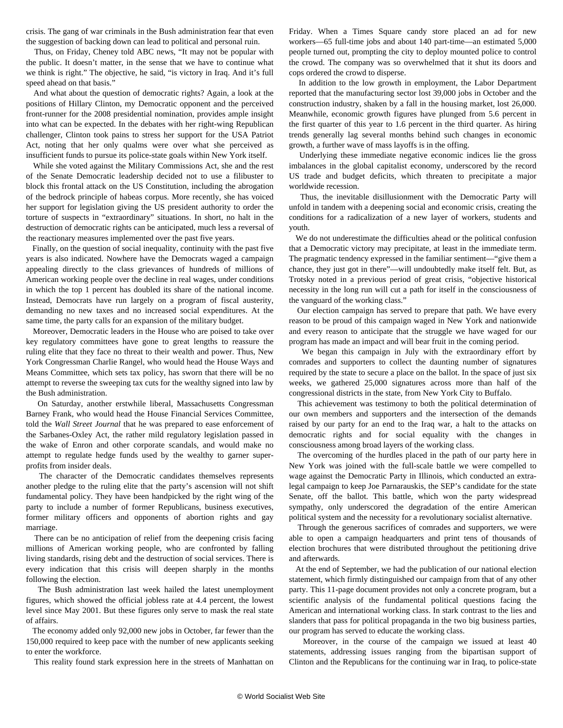crisis. The gang of war criminals in the Bush administration fear that even the suggestion of backing down can lead to political and personal ruin.

 Thus, on Friday, Cheney told ABC news, "It may not be popular with the public. It doesn't matter, in the sense that we have to continue what we think is right." The objective, he said, "is victory in Iraq. And it's full speed ahead on that basis."

 And what about the question of democratic rights? Again, a look at the positions of Hillary Clinton, my Democratic opponent and the perceived front-runner for the 2008 presidential nomination, provides ample insight into what can be expected. In the debates with her right-wing Republican challenger, Clinton took pains to stress her support for the USA Patriot Act, noting that her only qualms were over what she perceived as insufficient funds to pursue its police-state goals within New York itself.

 While she voted against the Military Commissions Act, she and the rest of the Senate Democratic leadership decided not to use a filibuster to block this frontal attack on the US Constitution, including the abrogation of the bedrock principle of habeas corpus. More recently, she has voiced her support for legislation giving the US president authority to order the torture of suspects in "extraordinary" situations. In short, no halt in the destruction of democratic rights can be anticipated, much less a reversal of the reactionary measures implemented over the past five years.

 Finally, on the question of social inequality, continuity with the past five years is also indicated. Nowhere have the Democrats waged a campaign appealing directly to the class grievances of hundreds of millions of American working people over the decline in real wages, under conditions in which the top 1 percent has doubled its share of the national income. Instead, Democrats have run largely on a program of fiscal austerity, demanding no new taxes and no increased social expenditures. At the same time, the party calls for an expansion of the military budget.

 Moreover, Democratic leaders in the House who are poised to take over key regulatory committees have gone to great lengths to reassure the ruling elite that they face no threat to their wealth and power. Thus, New York Congressman Charlie Rangel, who would head the House Ways and Means Committee, which sets tax policy, has sworn that there will be no attempt to reverse the sweeping tax cuts for the wealthy signed into law by the Bush administration.

 On Saturday, another erstwhile liberal, Massachusetts Congressman Barney Frank, who would head the House Financial Services Committee, told the *Wall Street Journal* that he was prepared to ease enforcement of the Sarbanes-Oxley Act, the rather mild regulatory legislation passed in the wake of Enron and other corporate scandals, and would make no attempt to regulate hedge funds used by the wealthy to garner superprofits from insider deals.

 The character of the Democratic candidates themselves represents another pledge to the ruling elite that the party's ascension will not shift fundamental policy. They have been handpicked by the right wing of the party to include a number of former Republicans, business executives, former military officers and opponents of abortion rights and gay marriage.

 There can be no anticipation of relief from the deepening crisis facing millions of American working people, who are confronted by falling living standards, rising debt and the destruction of social services. There is every indication that this crisis will deepen sharply in the months following the election.

 The Bush administration last week hailed the latest unemployment figures, which showed the official jobless rate at 4.4 percent, the lowest level since May 2001. But these figures only serve to mask the real state of affairs.

 The economy added only 92,000 new jobs in October, far fewer than the 150,000 required to keep pace with the number of new applicants seeking to enter the workforce.

This reality found stark expression here in the streets of Manhattan on

Friday. When a Times Square candy store placed an ad for new workers—65 full-time jobs and about 140 part-time—an estimated 5,000 people turned out, prompting the city to deploy mounted police to control the crowd. The company was so overwhelmed that it shut its doors and cops ordered the crowd to disperse.

 In addition to the low growth in employment, the Labor Department reported that the manufacturing sector lost 39,000 jobs in October and the construction industry, shaken by a fall in the housing market, lost 26,000. Meanwhile, economic growth figures have plunged from 5.6 percent in the first quarter of this year to 1.6 percent in the third quarter. As hiring trends generally lag several months behind such changes in economic growth, a further wave of mass layoffs is in the offing.

 Underlying these immediate negative economic indices lie the gross imbalances in the global capitalist economy, underscored by the record US trade and budget deficits, which threaten to precipitate a major worldwide recession.

 Thus, the inevitable disillusionment with the Democratic Party will unfold in tandem with a deepening social and economic crisis, creating the conditions for a radicalization of a new layer of workers, students and youth.

 We do not underestimate the difficulties ahead or the political confusion that a Democratic victory may precipitate, at least in the immediate term. The pragmatic tendency expressed in the familiar sentiment—"give them a chance, they just got in there"—will undoubtedly make itself felt. But, as Trotsky noted in a previous period of great crisis, "objective historical necessity in the long run will cut a path for itself in the consciousness of the vanguard of the working class."

 Our election campaign has served to prepare that path. We have every reason to be proud of this campaign waged in New York and nationwide and every reason to anticipate that the struggle we have waged for our program has made an impact and will bear fruit in the coming period.

 We began this campaign in July with the extraordinary effort by comrades and supporters to collect the daunting number of signatures required by the state to secure a place on the ballot. In the space of just six weeks, we gathered 25,000 signatures across more than half of the congressional districts in the state, from New York City to Buffalo.

 This achievement was testimony to both the political determination of our own members and supporters and the intersection of the demands raised by our party for an end to the Iraq war, a halt to the attacks on democratic rights and for social equality with the changes in consciousness among broad layers of the working class.

 The overcoming of the hurdles placed in the path of our party here in New York was joined with the full-scale battle we were compelled to wage against the Democratic Party in Illinois, which conducted an extralegal campaign to keep Joe Parnarauskis, the SEP's candidate for the state Senate, off the ballot. This battle, which won the party widespread sympathy, only underscored the degradation of the entire American political system and the necessity for a revolutionary socialist alternative.

 Through the generous sacrifices of comrades and supporters, we were able to open a campaign headquarters and print tens of thousands of election brochures that were distributed throughout the petitioning drive and afterwards.

 At the end of September, we had the publication of our national election statement, which firmly distinguished our campaign from that of any other party. This 11-page document provides not only a concrete program, but a scientific analysis of the fundamental political questions facing the American and international working class. In stark contrast to the lies and slanders that pass for political propaganda in the two big business parties, our program has served to educate the working class.

 Moreover, in the course of the campaign we issued at least 40 statements, addressing issues ranging from the bipartisan support of Clinton and the Republicans for the continuing war in Iraq, to police-state